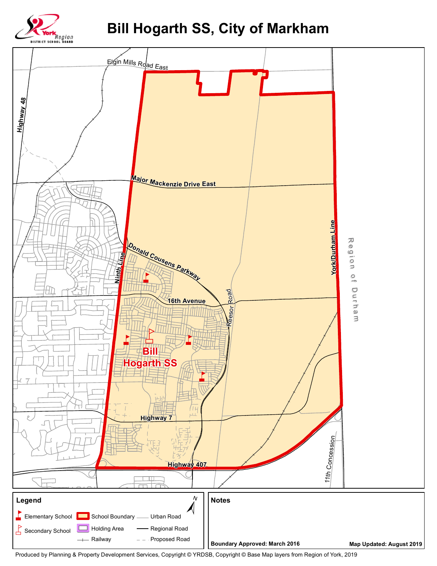

## **Bill Hogarth SS, City of Markham**



Produced by Planning & Property Development Services, Copyright © YRDSB, Copyright © Base Map layers from Region of York, 2019